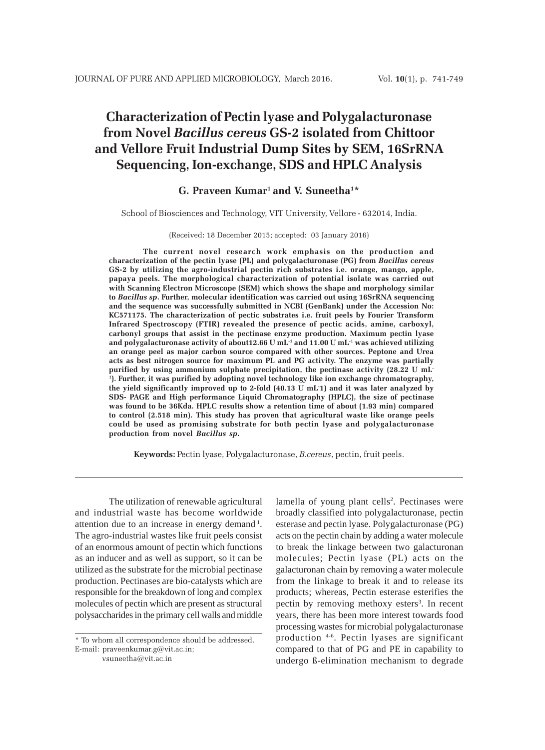# **Characterization of Pectin lyase and Polygalacturonase from Novel** *Bacillus cereus* **GS-2 isolated from Chittoor and Vellore Fruit Industrial Dump Sites by SEM, 16SrRNA Sequencing, Ion-exchange, SDS and HPLC Analysis**

## **G. Praveen Kumar1 and V. Suneetha1\***

School of Biosciences and Technology, VIT University, Vellore - 632014, India.

#### (Received: 18 December 2015; accepted: 03 January 2016)

**The current novel research work emphasis on the production and characterization of the pectin lyase (PL) and polygalacturonase (PG) from** *Bacillus cereus* **GS-2 by utilizing the agro-industrial pectin rich substrates i.e. orange, mango, apple, papaya peels. The morphological characterization of potential isolate was carried out with Scanning Electron Microscope (SEM) which shows the shape and morphology similar to** *Bacillus sp***. Further, molecular identification was carried out using 16SrRNA sequencing and the sequence was successfully submitted in NCBI (GenBank) under the Accession No: KC571175. The characterization of pectic substrates i.e. fruit peels by Fourier Transform Infrared Spectroscopy (FTIR) revealed the presence of pectic acids, amine, carboxyl, carbonyl groups that assist in the pectinase enzyme production. Maximum pectin lyase** and polygalacturonase activity of about12.66 U mL<sup>-1</sup> and 11.00 U mL<sup>-1</sup> was achieved utilizing **an orange peel as major carbon source compared with other sources. Peptone and Urea acts as best nitrogen source for maximum PL and PG activity. The enzyme was partially purified by using ammonium sulphate precipitation, the pectinase activity (28.22 U mL-1 ). Further, it was purified by adopting novel technology like ion exchange chromatography, the yield significantly improved up to 2-fold (40.13 U mL-1) and it was later analyzed by SDS- PAGE and High performance Liquid Chromatography (HPLC), the size of pectinase was found to be 36Kda. HPLC results show a retention time of about (1.93 min) compared to control (2.518 min). This study has proven that agricultural waste like orange peels could be used as promising substrate for both pectin lyase and polygalacturonase production from novel** *Bacillus sp***.**

**Keywords:** Pectin lyase, Polygalacturonase, *B.cereus*, pectin, fruit peels.

The utilization of renewable agricultural and industrial waste has become worldwide attention due to an increase in energy demand 1. The agro-industrial wastes like fruit peels consist of an enormous amount of pectin which functions as an inducer and as well as support, so it can be utilized as the substrate for the microbial pectinase production. Pectinases are bio-catalysts which are responsible for the breakdown of long and complex molecules of pectin which are present as structural polysaccharides in the primary cell walls and middle

\* To whom all correspondence should be addressed. E-mail: praveenkumar.g@vit.ac.in;

vsuneetha@vit.ac.in

lamella of young plant cells<sup>2</sup>. Pectinases were broadly classified into polygalacturonase, pectin esterase and pectin lyase. Polygalacturonase (PG) acts on the pectin chain by adding a water molecule to break the linkage between two galacturonan molecules; Pectin lyase (PL) acts on the galacturonan chain by removing a water molecule from the linkage to break it and to release its products; whereas, Pectin esterase esterifies the pectin by removing methoxy esters<sup>3</sup>. In recent years, there has been more interest towards food processing wastes for microbial polygalacturonase production 4-6. Pectin lyases are significant compared to that of PG and PE in capability to undergo ß-elimination mechanism to degrade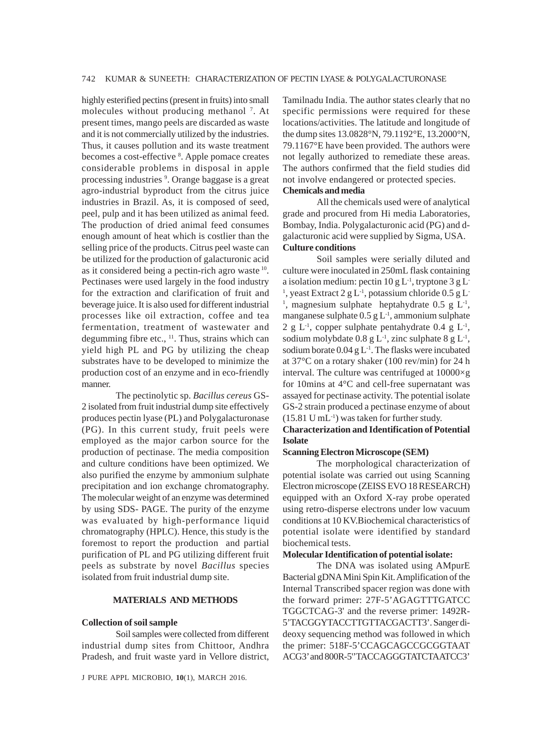highly esterified pectins (present in fruits) into small molecules without producing methanol<sup>7</sup>. At present times, mango peels are discarded as waste and it is not commercially utilized by the industries. Thus, it causes pollution and its waste treatment becomes a cost-effective <sup>8</sup>. Apple pomace creates considerable problems in disposal in apple processing industries <sup>9</sup>. Orange baggase is a great agro-industrial byproduct from the citrus juice industries in Brazil. As, it is composed of seed, peel, pulp and it has been utilized as animal feed. The production of dried animal feed consumes enough amount of heat which is costlier than the selling price of the products. Citrus peel waste can be utilized for the production of galacturonic acid as it considered being a pectin-rich agro waste 10. Pectinases were used largely in the food industry for the extraction and clarification of fruit and beverage juice. It is also used for different industrial processes like oil extraction, coffee and tea fermentation, treatment of wastewater and degumming fibre etc.,  $11$ . Thus, strains which can yield high PL and PG by utilizing the cheap substrates have to be developed to minimize the production cost of an enzyme and in eco-friendly manner.

The pectinolytic sp. *Bacillus cereus* GS-2 isolated from fruit industrial dump site effectively produces pectin lyase (PL) and Polygalacturonase (PG). In this current study, fruit peels were employed as the major carbon source for the production of pectinase. The media composition and culture conditions have been optimized. We also purified the enzyme by ammonium sulphate precipitation and ion exchange chromatography. The molecular weight of an enzyme was determined by using SDS- PAGE. The purity of the enzyme was evaluated by high-performance liquid chromatography (HPLC). Hence, this study is the foremost to report the production and partial purification of PL and PG utilizing different fruit peels as substrate by novel *Bacillus* species isolated from fruit industrial dump site.

#### **MATERIALS AND METHODS**

#### **Collection of soil sample**

Soil samples were collected from different industrial dump sites from Chittoor, Andhra Pradesh, and fruit waste yard in Vellore district,

J PURE APPL MICROBIO*,* **10**(1), MARCH 2016.

Tamilnadu India. The author states clearly that no specific permissions were required for these locations/activities. The latitude and longitude of the dump sites 13.0828°N, 79.1192°E, 13.2000°N, 79.1167°E have been provided. The authors were not legally authorized to remediate these areas. The authors confirmed that the field studies did not involve endangered or protected species. **Chemicals and media**

All the chemicals used were of analytical grade and procured from Hi media Laboratories, Bombay, India. Polygalacturonic acid (PG) and dgalacturonic acid were supplied by Sigma, USA. **Culture conditions**

Soil samples were serially diluted and culture were inoculated in 250mL flask containing a isolation medium: pectin  $10 \text{ g L}^{-1}$ , tryptone 3 g L-<sup>1</sup>, yeast Extract 2 g L<sup>-1</sup>, potassium chloride  $0.5$  g L<sup>-1</sup> <sup>1</sup>, magnesium sulphate heptahydrate  $0.5 \text{ g L}^1$ , manganese sulphate  $0.5 \text{ g L}^{-1}$ , ammonium sulphate 2 g L<sup>-1</sup>, copper sulphate pentahydrate 0.4 g L<sup>-1</sup>, sodium molybdate  $0.8 \text{ g L}^{-1}$ , zinc sulphate  $8 \text{ g L}^{-1}$ , sodium borate  $0.04$  g L<sup>-1</sup>. The flasks were incubated at 37°C on a rotary shaker (100 rev/min) for 24 h interval. The culture was centrifuged at 10000×g for 10mins at 4°C and cell-free supernatant was assayed for pectinase activity. The potential isolate GS-2 strain produced a pectinase enzyme of about  $(15.81 \text{ U } \text{mL}^{-1})$  was taken for further study.

## **Characterization and Identification of Potential Isolate**

### **Scanning Electron Microscope (SEM)**

The morphological characterization of potential isolate was carried out using Scanning Electron microscope (ZEISS EVO 18 RESEARCH) equipped with an Oxford X-ray probe operated using retro-disperse electrons under low vacuum conditions at 10 KV.Biochemical characteristics of potential isolate were identified by standard biochemical tests.

#### **Molecular Identification of potential isolate:**

The DNA was isolated using AMpurE Bacterial gDNA Mini Spin Kit. Amplification of the Internal Transcribed spacer region was done with the forward primer: 27F-5'AGAGTTTGATCC TGGCTCAG-3' and the reverse primer: 1492R-5'TACGGYTACCTTGTTACGACTT3'. Sanger dideoxy sequencing method was followed in which the primer: 518F-5'CCAGCAGCCGCGGTAAT ACG3' and 800R-5''TACCAGGGTATCTAATCC3'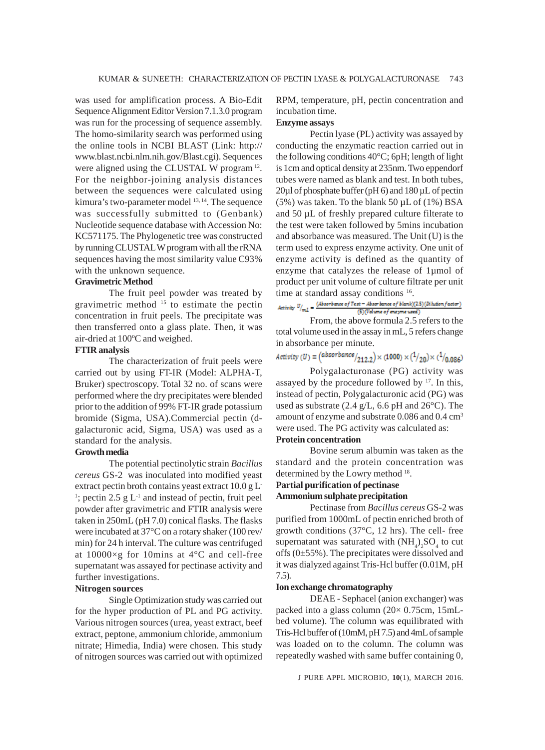was used for amplification process. A Bio-Edit Sequence Alignment Editor Version 7.1.3.0 program was run for the processing of sequence assembly. The homo-similarity search was performed using the online tools in NCBI BLAST (Link: http:// www.blast.ncbi.nlm.nih.gov/Blast.cgi). Sequences were aligned using the CLUSTAL W program 12. For the neighbor-joining analysis distances between the sequences were calculated using kimura's two-parameter model <sup>13, 14</sup>. The sequence was successfully submitted to (Genbank) Nucleotide sequence database with Accession No: KC571175. The Phylogenetic tree was constructed by running CLUSTAL W program with all the rRNA sequences having the most similarity value C93% with the unknown sequence.

## **Gravimetric Method**

The fruit peel powder was treated by gravimetric method 15 to estimate the pectin concentration in fruit peels. The precipitate was then transferred onto a glass plate. Then, it was air-dried at 100ºC and weighed.

## **FTIR analysis**

The characterization of fruit peels were carried out by using FT-IR (Model: ALPHA-T, Bruker) spectroscopy. Total 32 no. of scans were performed where the dry precipitates were blended prior to the addition of 99% FT-IR grade potassium bromide (Sigma, USA).Commercial pectin (dgalacturonic acid, Sigma, USA) was used as a standard for the analysis.

## **Growth media**

The potential pectinolytic strain *Bacillus cereus* GS-2 was inoculated into modified yeast extract pectin broth contains yeast extract 10.0 g L-<sup>1</sup>; pectin 2.5 g  $L<sup>-1</sup>$  and instead of pectin, fruit peel powder after gravimetric and FTIR analysis were taken in 250mL (pH 7.0) conical flasks. The flasks were incubated at 37°C on a rotary shaker (100 rev/ min) for 24 h interval. The culture was centrifuged at 10000×g for 10mins at 4°C and cell-free supernatant was assayed for pectinase activity and further investigations.

## **Nitrogen sources**

Single Optimization study was carried out for the hyper production of PL and PG activity. Various nitrogen sources (urea, yeast extract, beef extract, peptone, ammonium chloride, ammonium nitrate; Himedia, India) were chosen. This study of nitrogen sources was carried out with optimized RPM, temperature, pH, pectin concentration and incubation time.

## **Enzyme assays**

Pectin lyase (PL) activity was assayed by conducting the enzymatic reaction carried out in the following conditions 40°C; 6pH; length of light is 1cm and optical density at 235nm. Two eppendorf tubes were named as blank and test. In both tubes, 20µl of phosphate buffer (pH 6) and 180 µL of pectin  $(5\%)$  was taken. To the blank 50  $\mu$ L of  $(1\%)$  BSA and 50 µL of freshly prepared culture filterate to the test were taken followed by 5mins incubation and absorbance was measured. The Unit (U) is the term used to express enzyme activity. One unit of enzyme activity is defined as the quantity of enzyme that catalyzes the release of 1µmol of product per unit volume of culture filtrate per unit

time at standard assay conditions <sup>16</sup>.<br>Activity  $U_{\text{full}} = \frac{(4 \text{bar} \cdot \text{bar} + \text{bar} \cdot \text{bar} + \text{bar} \cdot \text{bar})(25)(\text{Rkation factor})}{\sqrt{2 \times 25}}$ (5) (Volume of enzyme used)

From, the above formula 2.5 refers to the total volume used in the assay in mL, 5 refers change in absorbance per minute.

 $Activity (U) = (absorbance /_{212.2}) \times (1000) \times (1/_{20}) \times (1/_{0.086})$ 

Polygalacturonase (PG) activity was assayed by the procedure followed by  $17$ . In this, instead of pectin, Polygalacturonic acid (PG) was used as substrate (2.4 g/L, 6.6 pH and 26°C). The amount of enzyme and substrate 0.086 and 0.4 cm<sup>3</sup> were used. The PG activity was calculated as:

## **Protein concentration**

Bovine serum albumin was taken as the standard and the protein concentration was determined by the Lowry method <sup>18</sup>.

## **Partial purification of pectinase**

### **Ammonium sulphate precipitation**

Pectinase from *Bacillus cereus* GS-2 was purified from 1000mL of pectin enriched broth of growth conditions (37°C, 12 hrs). The cell- free supernatant was saturated with  $(NH_4)_2SO_4$  to cut offs (0±55%). The precipitates were dissolved and it was dialyzed against Tris-Hcl buffer (0.01M, pH 7.5).

#### **Ion exchange chromatography**

DEAE - Sephacel (anion exchanger) was packed into a glass column (20× 0.75cm, 15mLbed volume). The column was equilibrated with Tris-Hcl buffer of (10mM, pH 7.5) and 4mL of sample was loaded on to the column. The column was repeatedly washed with same buffer containing 0,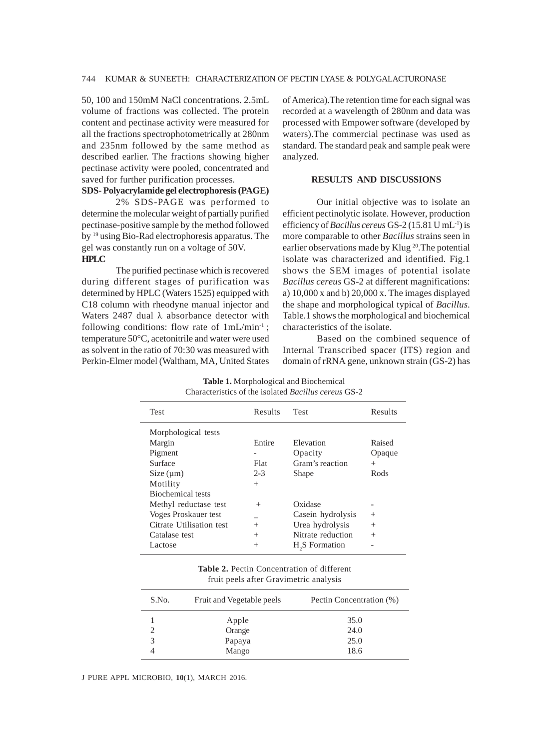50, 100 and 150mM NaCl concentrations. 2.5mL volume of fractions was collected. The protein content and pectinase activity were measured for all the fractions spectrophotometrically at 280nm and 235nm followed by the same method as described earlier. The fractions showing higher pectinase activity were pooled, concentrated and saved for further purification processes.

## **SDS- Polyacrylamide gel electrophoresis (PAGE)**

2% SDS-PAGE was performed to determine the molecular weight of partially purified pectinase-positive sample by the method followed by 19 using Bio-Rad electrophoresis apparatus. The gel was constantly run on a voltage of 50V. **HPLC**

The purified pectinase which is recovered during different stages of purification was determined by HPLC (Waters 1525) equipped with C18 column with rheodyne manual injector and Waters 2487 dual  $\lambda$  absorbance detector with following conditions: flow rate of  $1mL/min^{-1}$ ; temperature 50°C, acetonitrile and water were used as solvent in the ratio of 70:30 was measured with Perkin-Elmer model (Waltham, MA, United States of America).The retention time for each signal was recorded at a wavelength of 280nm and data was processed with Empower software (developed by waters).The commercial pectinase was used as standard. The standard peak and sample peak were analyzed.

## **RESULTS AND DISCUSSIONS**

Our initial objective was to isolate an efficient pectinolytic isolate. However, production efficiency of *Bacillus cereus* GS-2 (15.81 U mL-1) is more comparable to other *Bacillus* strains seen in earlier observations made by Klug 20.The potential isolate was characterized and identified. Fig.1 shows the SEM images of potential isolate *Bacillus cereus* GS-2 at different magnifications: a) 10,000 x and b) 20,000 x. The images displayed the shape and morphological typical of *Bacillus*. Table.1 shows the morphological and biochemical characteristics of the isolate.

Based on the combined sequence of Internal Transcribed spacer (ITS) region and domain of rRNA gene, unknown strain (GS-2) has

| Test                     | Results | <b>Test</b>                | Results |
|--------------------------|---------|----------------------------|---------|
| Morphological tests      |         |                            |         |
| Margin                   | Entire  | Elevation                  | Raised  |
| Pigment                  |         | Opacity                    | Opaque  |
| Surface                  | Flat    | Gram's reaction            | $^{+}$  |
| Size (µm)                | $2 - 3$ | Shape                      | Rods    |
| Motility                 | $^{+}$  |                            |         |
| <b>Biochemical tests</b> |         |                            |         |
| Methyl reductase test    | $^{+}$  | Oxidase                    |         |
| Voges Proskauer test     |         | Casein hydrolysis          | $^{+}$  |
| Citrate Utilisation test | $^{+}$  | Urea hydrolysis            | $^{+}$  |
| Catalase test            | $^{+}$  | Nitrate reduction          | $^{+}$  |
| Lactose                  | $^{+}$  | H <sub>2</sub> S Formation |         |

**Table 1.** Morphological and Biochemical Characteristics of the isolated *Bacillus cereus* GS-2

| <b>Table 2.</b> Pectin Concentration of different |  |
|---------------------------------------------------|--|
| fruit peels after Gravimetric analysis            |  |

| S.No. | Fruit and Vegetable peels | Pectin Concentration (%) |
|-------|---------------------------|--------------------------|
|       | Apple                     | 35.0                     |
|       | Orange                    | 24.0                     |
| 3     | Papaya                    | 25.0                     |
|       | Mango                     | 18.6                     |
|       |                           |                          |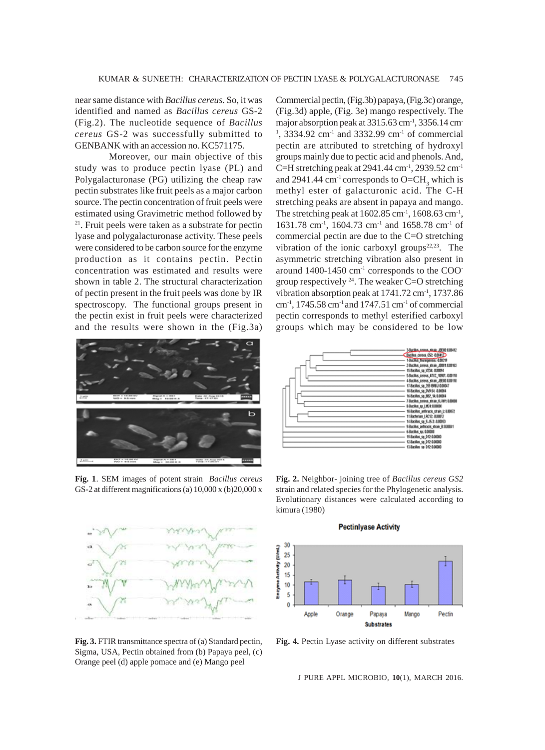near same distance with *Bacillus cereus*. So, it was identified and named as *Bacillus cereus* GS-2 (Fig.2). The nucleotide sequence of *Bacillus cereus* GS-2 was successfully submitted to GENBANK with an accession no. KC571175.

Moreover, our main objective of this study was to produce pectin lyase (PL) and Polygalacturonase (PG) utilizing the cheap raw pectin substrates like fruit peels as a major carbon source. The pectin concentration of fruit peels were estimated using Gravimetric method followed by 21. Fruit peels were taken as a substrate for pectin lyase and polygalacturonase activity. These peels were considered to be carbon source for the enzyme production as it contains pectin. Pectin concentration was estimated and results were shown in table 2. The structural characterization of pectin present in the fruit peels was done by IR spectroscopy. The functional groups present in the pectin exist in fruit peels were characterized and the results were shown in the (Fig.3a) Commercial pectin, (Fig.3b) papaya, (Fig.3c) orange, (Fig.3d) apple, (Fig. 3e) mango respectively. The major absorption peak at  $3315.63$  cm<sup>-1</sup>, 3356.14 cm  $1, 3334.92$  cm<sup>-1</sup> and 3332.99 cm<sup>-1</sup> of commercial pectin are attributed to stretching of hydroxyl groups mainly due to pectic acid and phenols. And, C=H stretching peak at  $2941.44 \text{ cm}^{-1}$ ,  $2939.52 \text{ cm}^{-1}$ and 2941.44 cm<sup>-1</sup> corresponds to  $O=CH_3$  which is methyl ester of galacturonic acid. The C-H stretching peaks are absent in papaya and mango. The stretching peak at  $1602.85$  cm<sup>-1</sup>,  $1608.63$  cm<sup>-1</sup>, 1631.78 cm-1, 1604.73 cm-1 and 1658.78 cm-1 of commercial pectin are due to the C=O stretching vibration of the ionic carboxyl groups $22,23$ . The asymmetric stretching vibration also present in around 1400-1450 cm-1 corresponds to the COOgroup respectively  $^{24}$ . The weaker C=O stretching vibration absorption peak at  $1741.72 \text{ cm}^3$ , 1737.86 cm<sup>-1</sup>, 1745.58 cm<sup>-1</sup> and 1747.51 cm<sup>-1</sup> of commercial pectin corresponds to methyl esterified carboxyl groups which may be considered to be low



**Fig. 1**. SEM images of potent strain *Bacillus cereus* GS-2 at different magnifications (a) 10,000 x (b)20,000 x



**Fig. 3.** FTIR transmittance spectra of (a) Standard pectin, Sigma, USA, Pectin obtained from (b) Papaya peel, (c) Orange peel (d) apple pomace and (e) Mango peel



**Fig. 2.** Neighbor- joining tree of *Bacillus cereus GS2* strain and related species for the Phylogenetic analysis. Evolutionary distances were calculated according to kimura (1980)

**Pectinlyase Activity** 



**Fig. 4.** Pectin Lyase activity on different substrates

J PURE APPL MICROBIO*,* **10**(1), MARCH 2016.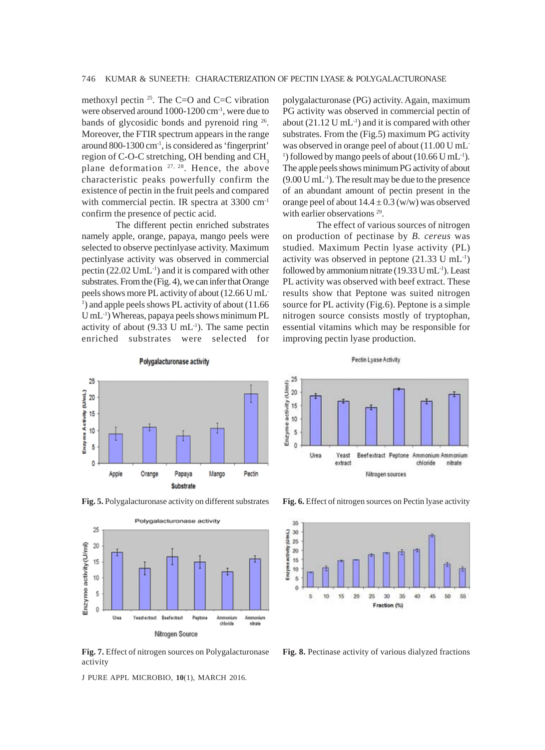methoxyl pectin  $25$ . The C=O and C=C vibration were observed around 1000-1200 cm-1, were due to bands of glycosidic bonds and pyrenoid ring 26. Moreover, the FTIR spectrum appears in the range around 800-1300 cm-1, is considered as 'fingerprint' region of C-O-C stretching, OH bending and CH<sub>3</sub> plane deformation 27, 28. Hence, the above characteristic peaks powerfully confirm the existence of pectin in the fruit peels and compared with commercial pectin. IR spectra at 3300 cm<sup>-1</sup> confirm the presence of pectic acid.

The different pectin enriched substrates namely apple, orange, papaya, mango peels were selected to observe pectinlyase activity. Maximum pectinlyase activity was observed in commercial pectin  $(22.02 \text{ UmL}^{-1})$  and it is compared with other substrates. From the (Fig. 4), we can infer that Orange peels shows more PL activity of about (12.66 U mL-<sup>1</sup>) and apple peels shows PL activity of about (11.66 U mL-1) Whereas, papaya peels shows minimum PL activity of about  $(9.33 \text{ U } \text{mL}^1)$ . The same pectin enriched substrates were selected for

polygalacturonase (PG) activity. Again, maximum PG activity was observed in commercial pectin of about  $(21.12 \text{ U } \text{mL}^{-1})$  and it is compared with other substrates. From the (Fig.5) maximum PG activity was observed in orange peel of about (11.00 U mL-<sup>1</sup>) followed by mango peels of about (10.66 U mL<sup>-1</sup>). The apple peels shows minimum PG activity of about  $(9.00 \text{ U } \text{mL}^{-1})$ . The result may be due to the presence of an abundant amount of pectin present in the orange peel of about  $14.4 \pm 0.3$  (w/w) was observed with earlier observations<sup>29</sup>.

The effect of various sources of nitrogen on production of pectinase by *B. cereus* was studied. Maximum Pectin lyase activity (PL) activity was observed in peptone (21.33 U mL-1) followed by ammonium nitrate  $(19.33 \text{ U } \text{mL}^{-1})$ . Least PL activity was observed with beef extract. These results show that Peptone was suited nitrogen source for PL activity (Fig.6). Peptone is a simple nitrogen source consists mostly of tryptophan, essential vitamins which may be responsible for improving pectin lyase production.





**Fig. 7.** Effect of nitrogen sources on Polygalacturonase activity

J PURE APPL MICROBIO*,* **10**(1), MARCH 2016.





**Fig. 5.** Polygalacturonase activity on different substrates **Fig. 6.** Effect of nitrogen sources on Pectin lyase activity



**Fig. 8.** Pectinase activity of various dialyzed fractions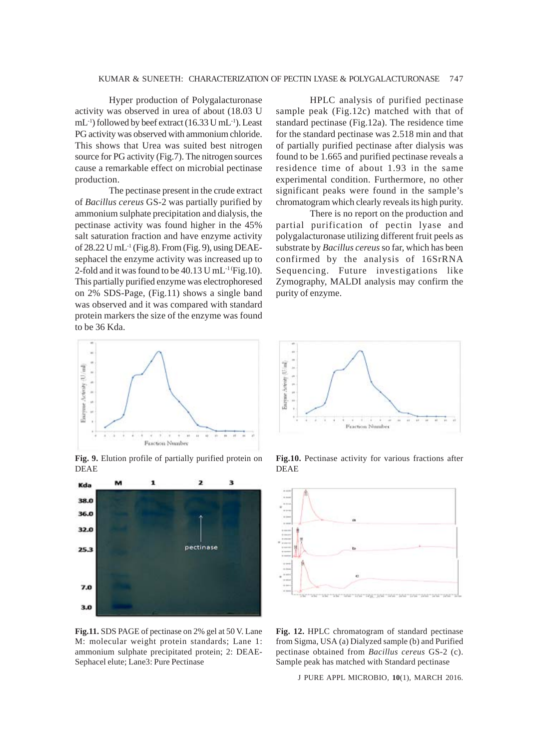## KUMAR & SUNEETH: CHARACTERIZATION OF PECTIN LYASE & POLYGALACTURONASE 747

Hyper production of Polygalacturonase activity was observed in urea of about (18.03 U mL-1) followed by beef extract (16.33 U mL-1). Least PG activity was observed with ammonium chloride. This shows that Urea was suited best nitrogen source for PG activity (Fig.7). The nitrogen sources cause a remarkable effect on microbial pectinase production.

The pectinase present in the crude extract of *Bacillus cereus* GS-2 was partially purified by ammonium sulphate precipitation and dialysis, the pectinase activity was found higher in the 45% salt saturation fraction and have enzyme activity of 28.22 U mL<sup>-1</sup> (Fig.8). From (Fig. 9), using DEAEsephacel the enzyme activity was increased up to 2-fold and it was found to be  $40.13$  U mL<sup>-1</sup> (Fig.10). This partially purified enzyme was electrophoresed on 2% SDS-Page, (Fig.11) shows a single band was observed and it was compared with standard protein markers the size of the enzyme was found to be 36 Kda.



**Fig. 9.** Elution profile of partially purified protein on DEAE



**Fig.11.** SDS PAGE of pectinase on 2% gel at 50 V. Lane M: molecular weight protein standards; Lane 1: ammonium sulphate precipitated protein; 2: DEAE-Sephacel elute; Lane3: Pure Pectinase

HPLC analysis of purified pectinase sample peak (Fig.12c) matched with that of standard pectinase (Fig.12a). The residence time for the standard pectinase was 2.518 min and that of partially purified pectinase after dialysis was found to be 1.665 and purified pectinase reveals a residence time of about 1.93 in the same experimental condition. Furthermore, no other significant peaks were found in the sample's chromatogram which clearly reveals its high purity.

There is no report on the production and partial purification of pectin lyase and polygalacturonase utilizing different fruit peels as substrate by *Bacillus cereus* so far, which has been confirmed by the analysis of 16SrRNA Sequencing. Future investigations like Zymography, MALDI analysis may confirm the purity of enzyme.



**Fig.10.** Pectinase activity for various fractions after DEAE



**Fig. 12.** HPLC chromatogram of standard pectinase from Sigma, USA (a) Dialyzed sample (b) and Purified pectinase obtained from *Bacillus cereus* GS-2 (c). Sample peak has matched with Standard pectinase

J PURE APPL MICROBIO*,* **10**(1), MARCH 2016.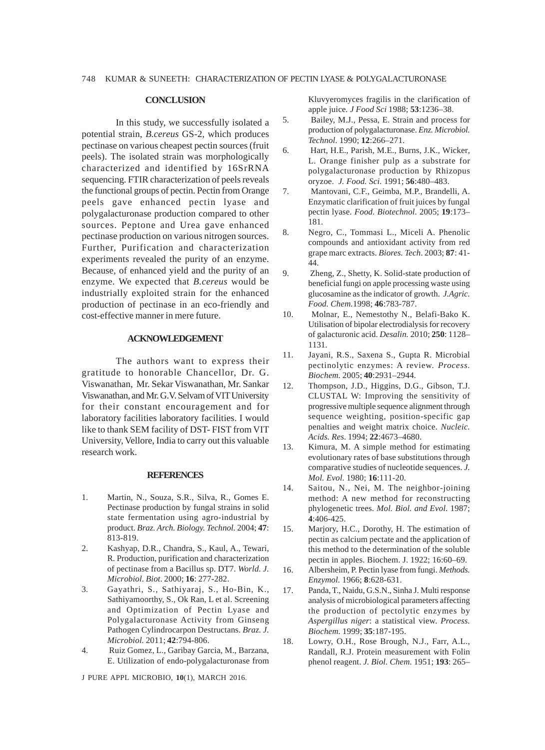### **CONCLUSION**

In this study, we successfully isolated a potential strain, *B.cereus* GS-2, which produces pectinase on various cheapest pectin sources (fruit peels). The isolated strain was morphologically characterized and identified by 16SrRNA sequencing. FTIR characterization of peels reveals the functional groups of pectin. Pectin from Orange peels gave enhanced pectin lyase and polygalacturonase production compared to other sources. Peptone and Urea gave enhanced pectinase production on various nitrogen sources. Further, Purification and characterization experiments revealed the purity of an enzyme. Because, of enhanced yield and the purity of an enzyme. We expected that *B.cereus* would be industrially exploited strain for the enhanced production of pectinase in an eco-friendly and cost-effective manner in mere future.

## **ACKNOWLEDGEMENT**

The authors want to express their gratitude to honorable Chancellor, Dr. G. Viswanathan, Mr. Sekar Viswanathan, Mr. Sankar Viswanathan, and Mr. G.V. Selvam of VIT University for their constant encouragement and for laboratory facilities laboratory facilities. I would like to thank SEM facility of DST- FIST from VIT University, Vellore, India to carry out this valuable research work.

#### **REFERENCES**

- 1. Martin, N., Souza, S.R., Silva, R., Gomes E. Pectinase production by fungal strains in solid state fermentation using agro-industrial by product. *Braz. Arch. Biology. Technol.* 2004; **47**: 813-819.
- 2. Kashyap, D.R., Chandra, S., Kaul, A., Tewari, R. Production, purification and characterization of pectinase from a Bacillus sp. DT7. *World. J. Microbiol. Biot*. 2000; **16**: 277-282.
- 3. Gayathri, S., Sathiyaraj, S., Ho-Bin, K., Sathiyamoorthy, S., Ok Ran, L et al. Screening and Optimization of Pectin Lyase and Polygalacturonase Activity from Ginseng Pathogen Cylindrocarpon Destructans. *Braz. J. Microbiol.* 2011; **42**:794-806.
- 4. Ruiz Gomez, L., Garibay Garcia, M., Barzana, E. Utilization of endo-polygalacturonase from

J PURE APPL MICROBIO*,* **10**(1), MARCH 2016.

Kluvyeromyces fragilis in the clarification of apple juice*. J Food Sci* 1988; **53**:1236–38.

- 5. Bailey, M.J., Pessa, E. Strain and process for production of polygalacturonase. *Enz. Microbiol. Technol.* 1990; **12**:266–271.
- 6. Hart, H.E., Parish, M.E., Burns, J.K., Wicker, L. Orange finisher pulp as a substrate for polygalacturonase production by Rhizopus oryzoe. *J. Food. Sci*. 1991; **56**:480–483.
- 7. Mantovani, C.F., Geimba, M.P., Brandelli, A. Enzymatic clarification of fruit juices by fungal pectin lyase. *Food. Biotechnol*. 2005; **19**:173– 181.
- 8. Negro, C., Tommasi L., Miceli A. Phenolic compounds and antioxidant activity from red grape marc extracts. *Biores. Tech*. 2003; **87**: 41- 44.
- 9. Zheng, Z., Shetty, K. Solid-state production of beneficial fungi on apple processing waste using glucosamine as the indicator of growth. *J.Agric. Food. Chem.*1998; **46**:783-787.
- 10. Molnar, E., Nemestothy N., Belafi-Bako K. Utilisation of bipolar electrodialysis for recovery of galacturonic acid. *Desalin.* 2010; **250**: 1128– 1131.
- 11. Jayani, R.S., Saxena S., Gupta R. Microbial pectinolytic enzymes: A review. *Process. Biochem.* 2005; **40**:2931–2944.
- 12. Thompson, J.D., Higgins, D.G., Gibson, T.J. CLUSTAL W: Improving the sensitivity of progressive multiple sequence alignment through sequence weighting, position-specific gap penalties and weight matrix choice. *Nucleic. Acids. Res*. 1994; **22**:4673–4680.
- 13. Kimura, M. A simple method for estimating evolutionary rates of base substitutions through comparative studies of nucleotide sequences. *J. Mol. Evol*. 1980; **16**:111-20.
- 14. Saitou, N., Nei, M. The neighbor-joining method: A new method for reconstructing phylogenetic trees. *Mol. Biol. and Evol*. 1987; **4**:406-425.
- 15. Marjory, H.C., Dorothy, H. The estimation of pectin as calcium pectate and the application of this method to the determination of the soluble pectin in apples. Biochem. J. 1922; 16:60–69.
- 16. Albersheim, P. Pectin lyase from fungi. *Methods. Enzymol.* 1966; **8**:628-631.
- 17. Panda, T., Naidu, G.S.N., Sinha J. Multi response analysis of microbiological parameters affecting the production of pectolytic enzymes by *Aspergillus niger*: a statistical view. *Process. Biochem.* 1999; **35**:187-195.
- 18. Lowry, O.H., Rose Brough, N.J., Farr, A.L., Randall, R.J. Protein measurement with Folin phenol reagent. *J. Biol. Chem*. 1951; **193**: 265–